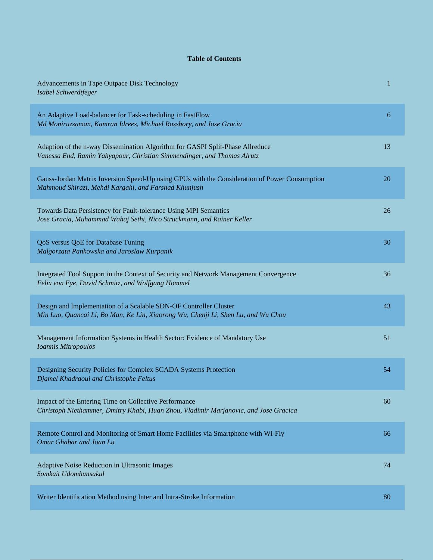## **Table of Contents**

| Advancements in Tape Outpace Disk Technology<br>Isabel Schwerdtfeger                                                                                     | 1  |
|----------------------------------------------------------------------------------------------------------------------------------------------------------|----|
| An Adaptive Load-balancer for Task-scheduling in FastFlow<br>Md Moniruzzaman, Kamran Idrees, Michael Rossbory, and Jose Gracia                           | 6  |
| Adaption of the n-way Dissemination Algorithm for GASPI Split-Phase Allreduce<br>Vanessa End, Ramin Yahyapour, Christian Simmendinger, and Thomas Alrutz | 13 |
| Gauss-Jordan Matrix Inversion Speed-Up using GPUs with the Consideration of Power Consumption<br>Mahmoud Shirazi, Mehdi Kargahi, and Farshad Khunjush    | 20 |
| Towards Data Persistency for Fault-tolerance Using MPI Semantics<br>Jose Gracia, Muhammad Wahaj Sethi, Nico Struckmann, and Rainer Keller                | 26 |
| QoS versus QoE for Database Tuning<br>Malgorzata Pankowska and Jaroslaw Kurpanik                                                                         | 30 |
| Integrated Tool Support in the Context of Security and Network Management Convergence<br>Felix von Eye, David Schmitz, and Wolfgang Hommel               | 36 |
| Design and Implementation of a Scalable SDN-OF Controller Cluster<br>Min Luo, Quancai Li, Bo Man, Ke Lin, Xiaorong Wu, Chenji Li, Shen Lu, and Wu Chou   | 43 |
| Management Information Systems in Health Sector: Evidence of Mandatory Use<br>Ioannis Mitropoulos                                                        | 51 |
| Designing Security Policies for Complex SCADA Systems Protection<br>Djamel Khadraoui and Christophe Feltus                                               | 54 |
| Impact of the Entering Time on Collective Performance<br>Christoph Niethammer, Dmitry Khabi, Huan Zhou, Vladimir Marjanovic, and Jose Gracica            | 60 |
| Remote Control and Monitoring of Smart Home Facilities via Smartphone with Wi-Fly<br><b>Omar Ghabar and Joan Lu</b>                                      | 66 |
| Adaptive Noise Reduction in Ultrasonic Images<br>Somkait Udomhunsakul                                                                                    | 74 |
| Writer Identification Method using Inter and Intra-Stroke Information                                                                                    | 80 |